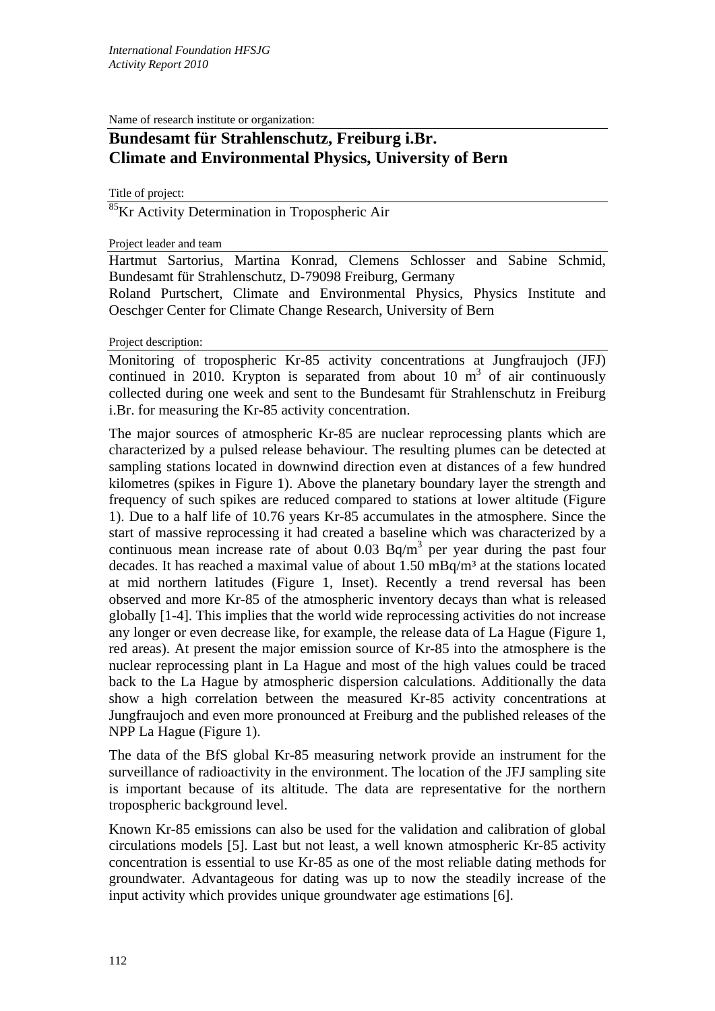Name of research institute or organization:

## **Bundesamt für Strahlenschutz, Freiburg i.Br. Climate and Environmental Physics, University of Bern**

Title of project:

<sup>85</sup>Kr Activity Determination in Tropospheric Air

## Project leader and team

Hartmut Sartorius, Martina Konrad, Clemens Schlosser and Sabine Schmid, Bundesamt für Strahlenschutz, D-79098 Freiburg, Germany

Roland Purtschert, Climate and Environmental Physics, Physics Institute and Oeschger Center for Climate Change Research, University of Bern

## Project description:

Monitoring of tropospheric Kr-85 activity concentrations at Jungfraujoch (JFJ) continued in 2010. Krypton is separated from about 10  $m<sup>3</sup>$  of air continuously collected during one week and sent to the Bundesamt für Strahlenschutz in Freiburg i.Br. for measuring the Kr-85 activity concentration.

The major sources of atmospheric Kr-85 are nuclear reprocessing plants which are characterized by a pulsed release behaviour. The resulting plumes can be detected at sampling stations located in downwind direction even at distances of a few hundred kilometres (spikes in Figure 1). Above the planetary boundary layer the strength and frequency of such spikes are reduced compared to stations at lower altitude (Figure 1). Due to a half life of 10.76 years Kr-85 accumulates in the atmosphere. Since the start of massive reprocessing it had created a baseline which was characterized by a continuous mean increase rate of about  $0.03$  Bq/m<sup>3</sup> per year during the past four decades. It has reached a maximal value of about  $1.50 \text{ mBq/m}^3$  at the stations located at mid northern latitudes (Figure 1, Inset). Recently a trend reversal has been observed and more Kr-85 of the atmospheric inventory decays than what is released globally [1-4]. This implies that the world wide reprocessing activities do not increase any longer or even decrease like, for example, the release data of La Hague (Figure 1, red areas). At present the major emission source of Kr-85 into the atmosphere is the nuclear reprocessing plant in La Hague and most of the high values could be traced back to the La Hague by atmospheric dispersion calculations. Additionally the data show a high correlation between the measured Kr-85 activity concentrations at Jungfraujoch and even more pronounced at Freiburg and the published releases of the NPP La Hague (Figure 1).

The data of the BfS global Kr-85 measuring network provide an instrument for the surveillance of radioactivity in the environment. The location of the JFJ sampling site is important because of its altitude. The data are representative for the northern tropospheric background level.

Known Kr-85 emissions can also be used for the validation and calibration of global circulations models [5]. Last but not least, a well known atmospheric Kr-85 activity concentration is essential to use Kr-85 as one of the most reliable dating methods for groundwater. Advantageous for dating was up to now the steadily increase of the input activity which provides unique groundwater age estimations [6].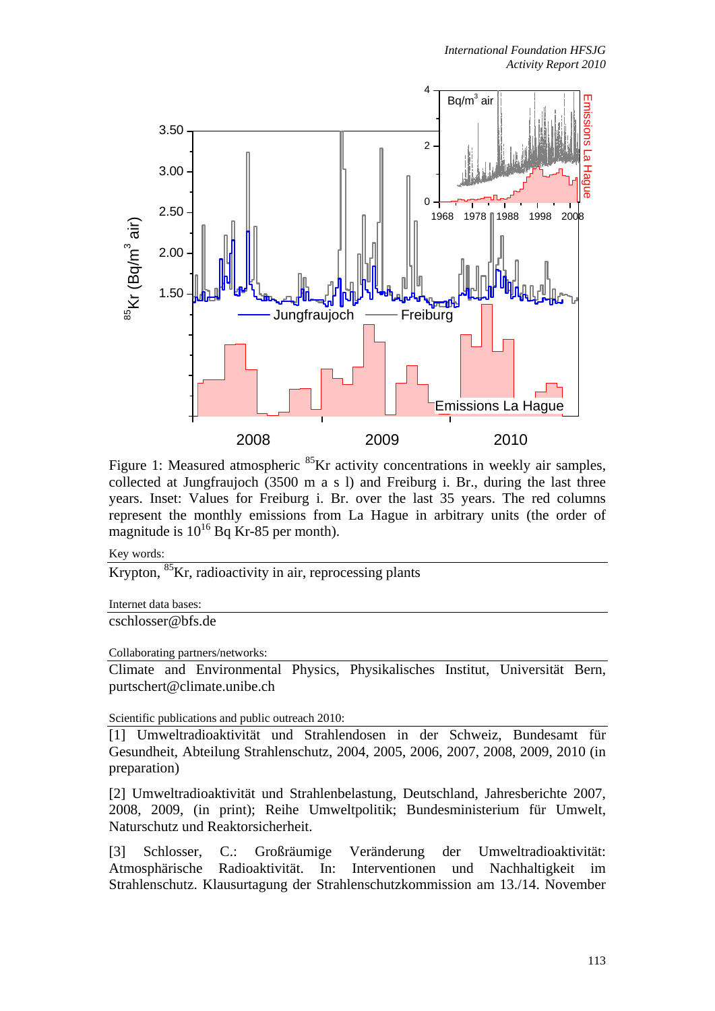

Figure 1: Measured atmospheric <sup>85</sup>Kr activity concentrations in weekly air samples, collected at Jungfraujoch (3500 m a s l) and Freiburg i. Br., during the last three years. Inset: Values for Freiburg i. Br. over the last 35 years. The red columns represent the monthly emissions from La Hague in arbitrary units (the order of magnitude is  $10^{16}$  Bq Kr-85 per month).

Key words:

Krypton,  ${}^{85}$ Kr, radioactivity in air, reprocessing plants

Internet data bases:

cschlosser@bfs.de

Collaborating partners/networks:

Climate and Environmental Physics, Physikalisches Institut, Universität Bern, purtschert@climate.unibe.ch

Scientific publications and public outreach 2010:

[1] Umweltradioaktivität und Strahlendosen in der Schweiz, Bundesamt für Gesundheit, Abteilung Strahlenschutz, 2004, 2005, 2006, 2007, 2008, 2009, 2010 (in preparation)

[2] Umweltradioaktivität und Strahlenbelastung, Deutschland, Jahresberichte 2007, 2008, 2009, (in print); Reihe Umweltpolitik; Bundesministerium für Umwelt, Naturschutz und Reaktorsicherheit.

[3] Schlosser, C.: Großräumige Veränderung der Umweltradioaktivität: Atmosphärische Radioaktivität. In: Interventionen und Nachhaltigkeit im Strahlenschutz. Klausurtagung der Strahlenschutzkommission am 13./14. November